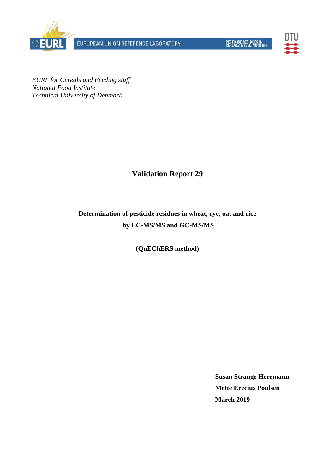

EUROPEAN UNION REFERENCE LABORATORY



*EURL for Cereals and Feeding stuff National Food Institute Technical University of Denmark* 

# **Validation Report 29**

# **Determination of pesticide residues in wheat, rye, oat and rice by LC-MS/MS and GC-MS/MS**

#### **(QuEChERS method)**

**Susan Strange Herrmann Mette Erecius Poulsen March 2019**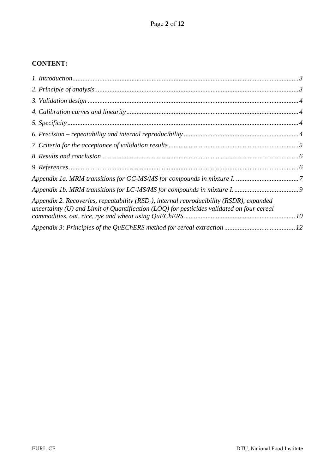# **CONTENT:**

| Appendix 2. Recoveries, repeatability ( $RSDr$ ), internal reproducibility ( $RSDR$ ), expanded<br>uncertainty (U) and Limit of Quantification (LOQ) for pesticides validated on four cereal |  |
|----------------------------------------------------------------------------------------------------------------------------------------------------------------------------------------------|--|
|                                                                                                                                                                                              |  |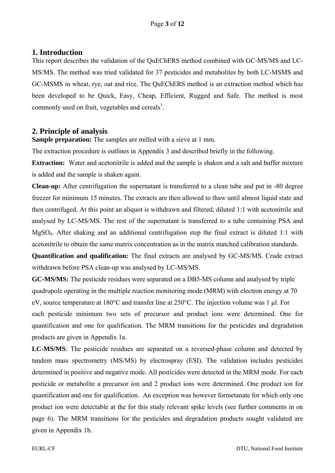#### **1. Introduction**

This report describes the validation of the QuEChERS method combined with GC-MS/MS and LC-MS/MS. The method was tried validated for 37 pesticides and metabolites by both LC-MSMS and GC-MSMS in wheat, rye, oat and rice. The QuEChERS method is an extraction method which has been developed to be Quick, Easy, Cheap, Efficient, Rugged and Safe. The method is most commonly used on fruit, vegetables and cereals<sup>1</sup>.

# **2. Principle of analysis**

**Sample preparation:** The samples are milled with a sieve at 1 mm.

The extraction procedure is outlines in Appendix 3 and described briefly in the following.

**Extraction:** Water and acetonitrile is added and the sample is shaken and a salt and buffer mixture is added and the sample is shaken again.

**Clean-up:** After centrifugation the supernatant is transferred to a clean tube and put in -80 degree freezer for minimum 15 minutes. The extracts are then allowed to thaw until almost liquid state and then centrifuged. At this point an aliquot is withdrawn and filtered, diluted 1:1 with acetonitrile and analysed by LC-MS/MS. The rest of the supernatant is transferred to a tube containing PSA and MgSO4. After shaking and an additional centrifugation step the final extract is diluted 1:1 with acetonitrile to obtain the same matrix concentration as in the matrix matched calibration standards.

**Quantification and qualification:** The final extracts are analysed by GC-MS/MS. Crude extract withdrawn before PSA clean-up was analysed by LC-MS/MS.

**GC-MS/MS:** The pesticide residues were separated on a DB5-MS column and analysed by triple quadrupole operating in the multiple reaction monitoring mode (MRM) with electron energy at 70 eV, source temperature at 180°C and transfer line at 250°C. The injection volume was 1 μl. For each pesticide minimum two sets of precursor and product ions were determined. One for quantification and one for qualification. The MRM transitions for the pesticides and degradation products are given in Appendix 1a.

**LC-MS/MS**: The pesticide residues are separated on a reversed-phase column and detected by tandem mass spectrometry (MS/MS) by electrospray (ESI). The validation includes pesticides determined in positive and negative mode. All pesticides were detected in the MRM mode. For each pesticide or metabolite a precursor ion and 2 product ions were determined. One product ion for quantification and one for qualification. An exception was however formetanate for which only one product ion were detectable at the for this study relevant spike levels (see further comments in on page 6). The MRM transitions for the pesticides and degradation products sought validated are given in Appendix 1b.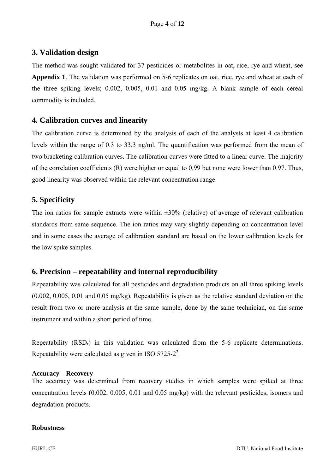# **3. Validation design**

The method was sought validated for 37 pesticides or metabolites in oat, rice, rye and wheat, see **Appendix 1**. The validation was performed on 5-6 replicates on oat, rice, rye and wheat at each of the three spiking levels; 0.002, 0.005, 0.01 and 0.05 mg/kg. A blank sample of each cereal commodity is included.

# **4. Calibration curves and linearity**

The calibration curve is determined by the analysis of each of the analysts at least 4 calibration levels within the range of 0.3 to 33.3 ng/ml. The quantification was performed from the mean of two bracketing calibration curves. The calibration curves were fitted to a linear curve. The majority of the correlation coefficients (R) were higher or equal to 0.99 but none were lower than 0.97. Thus, good linearity was observed within the relevant concentration range.

# **5. Specificity**

The ion ratios for sample extracts were within  $\pm 30\%$  (relative) of average of relevant calibration standards from same sequence. The ion ratios may vary slightly depending on concentration level and in some cases the average of calibration standard are based on the lower calibration levels for the low spike samples.

# **6. Precision – repeatability and internal reproducibility**

Repeatability was calculated for all pesticides and degradation products on all three spiking levels (0.002, 0.005, 0.01 and 0.05 mg/kg). Repeatability is given as the relative standard deviation on the result from two or more analysis at the same sample, done by the same technician, on the same instrument and within a short period of time.

Repeatability (RSDr) in this validation was calculated from the 5-6 replicate determinations. Repeatability were calculated as given in ISO 5725-2<sup>2</sup>.

#### **Accuracy – Recovery**

The accuracy was determined from recovery studies in which samples were spiked at three concentration levels (0.002, 0.005, 0.01 and 0.05 mg/kg) with the relevant pesticides, isomers and degradation products.

#### **Robustness**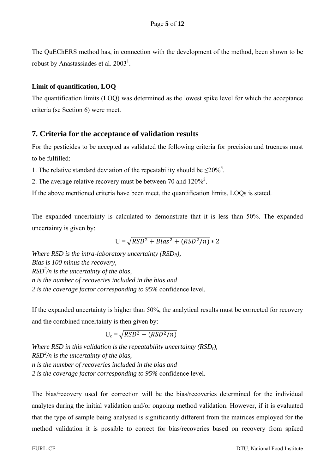The QuEChERS method has, in connection with the development of the method, been shown to be robust by Anastassiades et al.  $2003<sup>1</sup>$ .

#### **Limit of quantification, LOQ**

The quantification limits (LOQ) was determined as the lowest spike level for which the acceptance criteria (se Section 6) were meet.

# **7. Criteria for the acceptance of validation results**

For the pesticides to be accepted as validated the following criteria for precision and trueness must to be fulfilled:

1. The relative standard deviation of the repeatability should be  $\leq 20\%$ <sup>3</sup>.

2. The average relative recovery must be between 70 and  $120\%$ <sup>3</sup>.

If the above mentioned criteria have been meet, the quantification limits, LOQs is stated.

The expanded uncertainty is calculated to demonstrate that it is less than 50%. The expanded uncertainty is given by:

$$
U = \sqrt{RSD^2 + Bias^2 + (RSD^2/n)} * 2
$$

*Where RSD is the intra-laboratory uncertainty (RSDR), Bias is 100 minus the recovery, RSD2 /n is the uncertainty of the bias, n is the number of recoveries included in the bias and 2 is the coverage factor corresponding to 95%* confidence level*.* 

If the expanded uncertainty is higher than 50%, the analytical results must be corrected for recovery and the combined uncertainty is then given by:

 $U_c = \sqrt{RSD^2 + (RSD^2/n)}$ 

*Where RSD in this validation is the repeatability uncertainty (RSDr), RSD2 /n is the uncertainty of the bias, n is the number of recoveries included in the bias and 2 is the coverage factor corresponding to 95%* confidence level*.*

The bias/recovery used for correction will be the bias/recoveries determined for the individual analytes during the initial validation and/or ongoing method validation. However, if it is evaluated that the type of sample being analysed is significantly different from the matrices employed for the method validation it is possible to correct for bias/recoveries based on recovery from spiked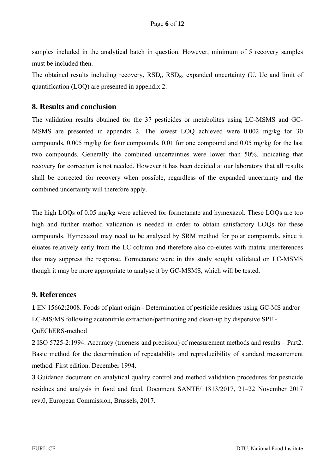samples included in the analytical batch in question. However, minimum of 5 recovery samples must be included then.

The obtained results including recovery,  $RSD<sub>r</sub>$ ,  $RSD<sub>R</sub>$ , expanded uncertainty (U, Uc and limit of quantification (LOQ) are presented in appendix 2.

#### **8. Results and conclusion**

The validation results obtained for the 37 pesticides or metabolites using LC-MSMS and GC-MSMS are presented in appendix 2. The lowest LOQ achieved were 0.002 mg/kg for 30 compounds, 0.005 mg/kg for four compounds, 0.01 for one compound and 0.05 mg/kg for the last two compounds. Generally the combined uncertainties were lower than 50%, indicating that recovery for correction is not needed. However it has been decided at our laboratory that all results shall be corrected for recovery when possible, regardless of the expanded uncertainty and the combined uncertainty will therefore apply.

The high LOQs of 0.05 mg/kg were achieved for formetanate and hymexazol. These LOQs are too high and further method validation is needed in order to obtain satisfactory LOQs for these compounds. Hymexazol may need to be analysed by SRM method for polar compounds, since it eluates relatively early from the LC column and therefore also co-elutes with matrix interferences that may suppress the response. Formetanate were in this study sought validated on LC-MSMS though it may be more appropriate to analyse it by GC-MSMS, which will be tested.

#### **9. References**

**1** EN 15662:2008. Foods of plant origin - Determination of pesticide residues using GC-MS and/or LC-MS/MS following acetonitrile extraction/partitioning and clean-up by dispersive SPE -

#### QuEChERS-method

**2** ISO 5725-2:1994. Accuracy (trueness and precision) of measurement methods and results – Part2. Basic method for the determination of repeatability and reproducibility of standard measurement method. First edition. December 1994.

**3** Guidance document on analytical quality control and method validation procedures for pesticide residues and analysis in food and feed, Document SANTE/11813/2017, 21–22 November 2017 rev.0, European Commission, Brussels, 2017.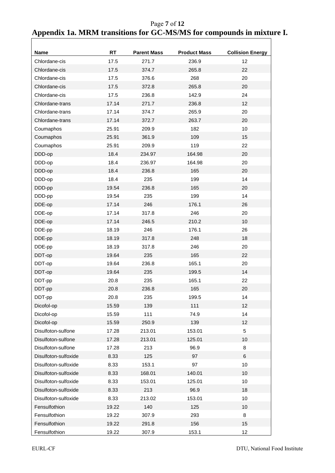Page **7** of **12 Appendix 1a. MRM transitions for GC-MS/MS for compounds in mixture I.** 

| <b>Name</b>          | <b>RT</b> | <b>Parent Mass</b> | <b>Product Mass</b> | <b>Collision Energy</b> |
|----------------------|-----------|--------------------|---------------------|-------------------------|
| Chlordane-cis        | 17.5      | 271.7              | 236.9               | 12                      |
| Chlordane-cis        | 17.5      | 374.7              | 265.8               | 22                      |
| Chlordane-cis        | 17.5      | 376.6              | 268                 | 20                      |
| Chlordane-cis        | 17.5      | 372.8              | 265.8               | 20                      |
| Chlordane-cis        | 17.5      | 236.8              | 142.9               | 24                      |
| Chlordane-trans      | 17.14     | 271.7              | 236.8               | 12                      |
| Chlordane-trans      | 17.14     | 374.7              | 265.9               | 20                      |
| Chlordane-trans      | 17.14     | 372.7              | 263.7               | 20                      |
| Coumaphos            | 25.91     | 209.9              | 182                 | 10                      |
| Coumaphos            | 25.91     | 361.9              | 109                 | 15                      |
| Coumaphos            | 25.91     | 209.9              | 119                 | 22                      |
| DDD-op               | 18.4      | 234.97             | 164.98              | 20                      |
| DDD-op               | 18.4      | 236.97             | 164.98              | 20                      |
| DDD-op               | 18.4      | 236.8              | 165                 | 20                      |
| DDD-op               | 18.4      | 235                | 199                 | 14                      |
| DDD-pp               | 19.54     | 236.8              | 165                 | 20                      |
| DDD-pp               | 19.54     | 235                | 199                 | 14                      |
| DDE-op               | 17.14     | 246                | 176.1               | 26                      |
| DDE-op               | 17.14     | 317.8              | 246                 | 20                      |
| DDE-op               | 17.14     | 246.5              | 210.2               | 10                      |
| DDE-pp               | 18.19     | 246                | 176.1               | 26                      |
| DDE-pp               | 18.19     | 317.8              | 248                 | 18                      |
| DDE-pp               | 18.19     | 317.8              | 246                 | 20                      |
| DDT-op               | 19.64     | 235                | 165                 | 22                      |
| DDT-op               | 19.64     | 236.8              | 165.1               | 20                      |
| DDT-op               | 19.64     | 235                | 199.5               | 14                      |
| DDT-pp               | 20.8      | 235                | 165.1               | 22                      |
| DDT-pp               | 20.8      | 236.8              | 165                 | 20                      |
| DDT-pp               | 20.8      | 235                | 199.5               | 14                      |
| Dicofol-op           | 15.59     | 139                | 111                 | 12                      |
| Dicofol-op           | 15.59     | 111                | 74.9                | 14                      |
| Dicofol-op           | 15.59     | 250.9              | 139                 | 12                      |
| Disulfoton-sulfone   | 17.28     | 213.01             | 153.01              | $\sqrt{5}$              |
| Disulfoton-sulfone   | 17.28     | 213.01             | 125.01              | 10                      |
| Disulfoton-sulfone   | 17.28     | 213                | 96.9                | $\, 8$                  |
| Disulfoton-sulfoxide | 8.33      | 125                | 97                  | 6                       |
| Disulfoton-sulfoxide | 8.33      | 153.1              | 97                  | $10$                    |
| Disulfoton-sulfoxide | 8.33      | 168.01             | 140.01              | $10$                    |
| Disulfoton-sulfoxide | 8.33      | 153.01             | 125.01              | $10$                    |
| Disulfoton-sulfoxide | 8.33      | 213                | 96.9                | 18                      |
| Disulfoton-sulfoxide | 8.33      | 213.02             | 153.01              | $10$                    |
| Fensulfothion        | 19.22     | 140                | 125                 | 10                      |
| Fensulfothion        | 19.22     | 307.9              | 293                 | $\,8\,$                 |
| Fensulfothion        | 19.22     | 291.8              | 156                 | 15                      |
| Fensulfothion        | 19.22     | 307.9              | 153.1               | 12                      |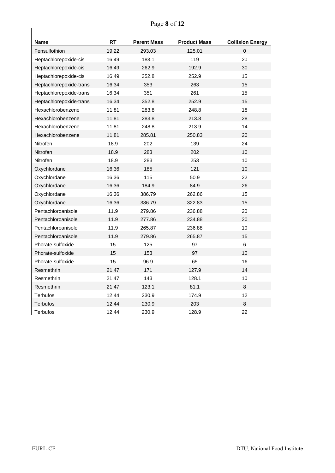| <b>Name</b>             | <b>RT</b> | <b>Parent Mass</b> | <b>Product Mass</b> | <b>Collision Energy</b> |
|-------------------------|-----------|--------------------|---------------------|-------------------------|
| Fensulfothion           | 19.22     | 293.03             | 125.01              | $\mathbf 0$             |
| Heptachlorepoxide-cis   | 16.49     | 183.1              | 119                 | 20                      |
| Heptachlorepoxide-cis   | 16.49     | 262.9              | 192.9               | 30                      |
| Heptachlorepoxide-cis   | 16.49     | 352.8              | 252.9               | 15                      |
| Heptachlorepoxide-trans | 16.34     | 353                | 263                 | 15                      |
| Heptachlorepoxide-trans | 16.34     | 351                | 261                 | 15                      |
| Heptachlorepoxide-trans | 16.34     | 352.8              | 252.9               | 15                      |
| Hexachlorobenzene       | 11.81     | 283.8              | 248.8               | 18                      |
| Hexachlorobenzene       | 11.81     | 283.8              | 213.8               | 28                      |
| Hexachlorobenzene       | 11.81     | 248.8              | 213.9               | 14                      |
| Hexachlorobenzene       | 11.81     | 285.81             | 250.83              | 20                      |
| Nitrofen                | 18.9      | 202                | 139                 | 24                      |
| Nitrofen                | 18.9      | 283                | 202                 | 10                      |
| Nitrofen                | 18.9      | 283                | 253                 | 10                      |
| Oxychlordane            | 16.36     | 185                | 121                 | 10                      |
| Oxychlordane            | 16.36     | 115                | 50.9                | 22                      |
| Oxychlordane            | 16.36     | 184.9              | 84.9                | 26                      |
| Oxychlordane            | 16.36     | 386.79             | 262.86              | 15                      |
| Oxychlordane            | 16.36     | 386.79             | 322.83              | 15                      |
| Pentachloroanisole      | 11.9      | 279.86             | 236.88              | 20                      |
| Pentachloroanisole      | 11.9      | 277.86             | 234.88              | 20                      |
| Pentachloroanisole      | 11.9      | 265.87             | 236.88              | 10                      |
| Pentachloroanisole      | 11.9      | 279.86             | 265.87              | 15                      |
| Phorate-sulfoxide       | 15        | 125                | 97                  | $6\phantom{a}$          |
| Phorate-sulfoxide       | 15        | 153                | 97                  | 10                      |
| Phorate-sulfoxide       | 15        | 96.9               | 65                  | 16                      |
| Resmethrin              | 21.47     | 171                | 127.9               | 14                      |
| Resmethrin              | 21.47     | 143                | 128.1               | 10                      |
| Resmethrin              | 21.47     | 123.1              | 81.1                | 8                       |
| Terbufos                | 12.44     | 230.9              | 174.9               | 12                      |
| <b>Terbufos</b>         | 12.44     | 230.9              | 203                 | 8                       |
| Terbufos                | 12.44     | 230.9              | 128.9               | 22                      |

٦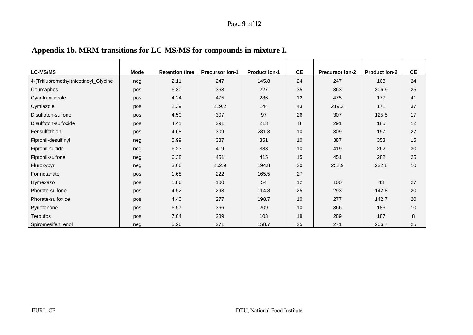| <b>LC-MS/MS</b>                       | Mode | <b>Retention time</b> | <b>Precursor ion-1</b> | <b>Product ion-1</b> | <b>CE</b> | <b>Precursor ion-2</b> | <b>Product ion-2</b> | <b>CE</b> |
|---------------------------------------|------|-----------------------|------------------------|----------------------|-----------|------------------------|----------------------|-----------|
| 4-(Trifluoromethyl)nicotinoyl_Glycine | neg  | 2.11                  | 247                    | 145.8                | 24        | 247                    | 163                  | 24        |
| Coumaphos                             | pos  | 6.30                  | 363                    | 227                  | 35        | 363                    | 306.9                | 25        |
| Cyantraniliprole                      | pos  | 4.24                  | 475                    | 286                  | 12        | 475                    | 177                  | 41        |
| Cymiazole                             | pos  | 2.39                  | 219.2                  | 144                  | 43        | 219.2                  | 171                  | 37        |
| Disulfoton-sulfone                    | pos  | 4.50                  | 307                    | 97                   | 26        | 307                    | 125.5                | 17        |
| Disulfoton-sulfoxide                  | pos  | 4.41                  | 291                    | 213                  | 8         | 291                    | 185                  | 12        |
| Fensulfothion                         | pos  | 4.68                  | 309                    | 281.3                | 10        | 309                    | 157                  | 27        |
| Fipronil-desulfinyl                   | neg  | 5.99                  | 387                    | 351                  | 10        | 387                    | 353                  | 15        |
| Fipronil-sulfide                      | neg  | 6.23                  | 419                    | 383                  | 10        | 419                    | 262                  | 30        |
| Fipronil-sulfone                      | neg  | 6.38                  | 451                    | 415                  | 15        | 451                    | 282                  | 25        |
| Fluroxypyr                            | neg  | 3.66                  | 252.9                  | 194.8                | 20        | 252.9                  | 232.8                | 10        |
| Formetanate                           | pos  | 1.68                  | 222                    | 165.5                | 27        |                        |                      |           |
| Hymexazol                             | pos  | 1.86                  | 100                    | 54                   | 12        | 100                    | 43                   | 27        |
| Phorate-sulfone                       | pos  | 4.52                  | 293                    | 114.8                | 25        | 293                    | 142.8                | 20        |
| Phorate-sulfoxide                     | pos  | 4.40                  | 277                    | 198.7                | 10        | 277                    | 142.7                | 20        |
| Pyriofenone                           | pos  | 6.57                  | 366                    | 209                  | 10        | 366                    | 186                  | 10        |
| <b>Terbufos</b>                       | pos  | 7.04                  | 289                    | 103                  | 18        | 289                    | 187                  | 8         |
| Spiromesifen_enol                     | neg  | 5.26                  | 271                    | 158.7                | 25        | 271                    | 206.7                | 25        |

# **Appendix 1b. MRM transitions for LC-MS/MS for compounds in mixture I.**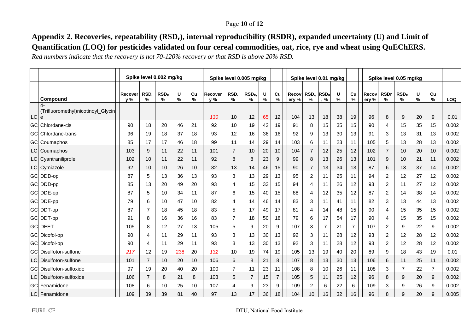#### Page **10** of **12**

# **Appendix 2. Recoveries, repeatability (RSDr), internal reproducibility (RSDR), expanded uncertainty (U) and Limit of Quantification (LOQ) for pesticides validated on four cereal commodities, oat, rice, rye and wheat using QuEChERS.**

*Red numbers indicate that the recovery is not 70-120% recovery or that RSD is above 20% RSD.* 

|           |                                                    | Spike level 0.002 mg/kg |                |                       |                    |            | Spike level 0.005 mg/kg |                |              |        | Spike level 0.01 mg/kg |                |                       |                |        | Spike level 0.05 mg/kg |                |                     |                                   |        |                  |       |
|-----------|----------------------------------------------------|-------------------------|----------------|-----------------------|--------------------|------------|-------------------------|----------------|--------------|--------|------------------------|----------------|-----------------------|----------------|--------|------------------------|----------------|---------------------|-----------------------------------|--------|------------------|-------|
|           | Compound                                           | Recover<br>y %          | RSD,<br>%      | RSD <sub>R</sub><br>% | U<br>$\frac{0}{0}$ | Cu<br>$\%$ | Recover<br>v %          | RSD,<br>%      | $RSD_R$<br>% | U<br>% | Cu<br>$\%$             | Recov<br>ery % | RSD <sub>r</sub><br>% | $RSD_R$<br>%   | U<br>% | Cu<br>$\%$             | Recov<br>ery % | <b>RSDr</b><br>$\%$ | RSD <sub>R</sub><br>$\frac{9}{6}$ | U<br>% | Cu<br>$\%$       | LOQ   |
| <b>LC</b> | (Trifluoromethyl)nicotinoyl_Glycin<br>$\mathbf{e}$ |                         |                |                       |                    |            | 130                     | 10             | 12           | 65     | 12                     | 104            | 13                    | 18             | 38     | 19                     | 96             | 8                   | 9                                 | 20     | $\boldsymbol{9}$ | 0.01  |
|           | <b>GC</b> Chlordane-cis                            | 90                      | 18             | 20                    | 46                 | 21         | 92                      | 10             | 19           | 42     | 19                     | 91             | 8                     | 15             | 35     | 15                     | 90             | 4                   | 15                                | 35     | 15               | 0.002 |
|           | <b>GC</b> Chlordane-trans                          | 96                      | 19             | 18                    | 37                 | 18         | 93                      | 12             | 16           | 36     | 16                     | 92             | 9                     | 13             | 30     | 13                     | 91             | 3                   | 13                                | 31     | 13               | 0.002 |
|           | <b>GC</b> Coumaphos                                | 85                      | 17             | 17                    | 46                 | 18         | 99                      | 11             | 14           | 29     | 14                     | 103            | 6                     | 11             | 23     | 11                     | 105            | 5                   | 13                                | 28     | 13               | 0.002 |
|           | LC Coumaphos                                       | 103                     | 9              | 11                    | 22                 | 11         | 101                     | $\overline{7}$ | 10           | 20     | 10                     | 104            | $\overline{7}$        | 12             | 25     | 12                     | 102            | $\overline{7}$      | 10                                | 20     | 10               | 0.002 |
|           | LC Cyantraniliprole                                | 102                     | 10             | 11                    | 22                 | 11         | 92                      | 8              | 8            | 23     | 9                      | 99             | 8                     | 13             | 26     | 13                     | 101            | 9                   | 10                                | 21     | 11               | 0.002 |
|           | LC Cymiazole                                       | 92                      | 10             | 10                    | 26                 | 10         | 82                      | 13             | 14           | 46     | 15                     | 90             | $\overline{7}$        | 13             | 34     | 13                     | 87             | 6                   | 13                                | 37     | 14               | 0.002 |
|           | GC DDD-op                                          | 87                      | 5              | 13                    | 36                 | 13         | 93                      | 3              | 13           | 29     | 13                     | 95             | $\overline{2}$        | 11             | 25     | 11                     | 94             | $\overline{c}$      | 12                                | 27     | 12               | 0.002 |
|           | GC DDD-pp                                          | 85                      | 13             | 20                    | 49                 | 20         | 93                      | 4              | 15           | 33     | 15                     | 94             | 4                     | 11             | 26     | 12                     | 93             | $\overline{2}$      | 11                                | 27     | 12               | 0.002 |
|           | GC DDE-op                                          | 87                      | 5              | 10                    | 34                 | 11         | 87                      | 6              | 15           | 40     | 15                     | 88             | 4                     | 12             | 35     | 12                     | 87             | 2                   | 14                                | 38     | 14               | 0.002 |
|           | GC DDE-pp                                          | 79                      | 6              | 10                    | 47                 | 10         | 82                      | 4              | 14           | 46     | 14                     | 83             | 3                     | 11             | 41     | 11                     | 82             | 3                   | 13                                | 44     | 13               | 0.002 |
|           | GC DDT-op                                          | 87                      | $\overline{7}$ | 18                    | 45                 | 18         | 83                      | 5              | 17           | 49     | 17                     | 81             | 4                     | 14             | 48     | 15                     | 90             | $\overline{4}$      | 15                                | 35     | 15               | 0.002 |
|           | GC DDT-pp                                          | 91                      | 8              | 16                    | 36                 | 16         | 83                      | $\overline{7}$ | 18           | 50     | 18                     | 79             | 6                     | 17             | 54     | 17                     | 90             | $\overline{4}$      | 15                                | 35     | 15               | 0.002 |
|           | <b>GCI DEET</b>                                    | 105                     | 8              | 12                    | 27                 | 13         | 105                     | 5              | 9            | 20     | 9                      | 107            | 3                     | $\overline{7}$ | 21     | $\overline{7}$         | 107            | $\overline{2}$      | 9                                 | 22     | 9                | 0.002 |
|           | GC Dicofol-op                                      | 90                      | 4              | 11                    | 29                 | 11         | 93                      | 3              | 13           | 30     | 13                     | 92             | 3                     | 11             | 28     | 12                     | 93             | $\overline{c}$      | 12                                | 28     | 12               | 0.002 |
|           | <b>GC</b> Dicofol-pp                               | 90                      | 4              | 11                    | 29                 | 11         | 93                      | 3              | 13           | 30     | 13                     | 92             | 3                     | 11             | 28     | 12                     | 93             | $\overline{c}$      | 12                                | 28     | 12               | 0.002 |
|           | <b>IGCI Disulfoton-sulfone</b>                     | 217                     | 12             | 19                    | 238                | 20         | 132                     | 10             | 19           | 74     | 19                     | 105            | 13                    | 19             | 40     | 20                     | 89             | 9                   | 18                                | 43     | 19               | 0.01  |
|           | LC Disulfoton-sulfone                              | 101                     | $\overline{7}$ | 10                    | 20                 | 10         | 106                     | 6              | 8            | 21     | 8                      | 107            | 8                     | 13             | 30     | 13                     | 106            | 6                   | 11                                | 25     | 11               | 0.002 |
|           | lGCl Disulfoton-sulfoxide                          | 97                      | 19             | 20                    | 40                 | 20         | 100                     | $\overline{7}$ | 11           | 23     | 11                     | 108            | 8                     | 10             | 26     | 11                     | 108            | 3                   | $\overline{7}$                    | 22     | $\overline{7}$   | 0.002 |
| <b>LC</b> | Disulfoton-sulfoxide                               | 106                     | $\overline{7}$ | 8                     | 21                 | 8          | 103                     | 5              | 7            | 15     | $\overline{7}$         | 105            | 5                     | 11             | 25     | 12                     | 96             | 8                   | 9                                 | 20     | 9                | 0.002 |
|           | IGCI Fenamidone                                    | 108                     | 6              | 10                    | 25                 | 10         | 107                     | 4              | 9            | 23     | 9                      | 109            | 2                     | 6              | 22     | 6                      | 109            | 3                   | 9                                 | 26     | 9                | 0.002 |
|           | LC Fenamidone                                      | 109                     | 39             | 39                    | 81                 | 40         | 97                      | 13             | 17           | 36     | 18                     | 104            | 10                    | 16             | 32     | 16                     | 96             | 8                   | 9                                 | 20     | 9                | 0.005 |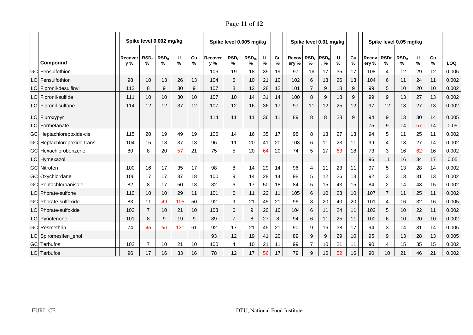Page **11** of **12**

|                             | Spike level 0.002 mg/kg |                       |                       |        |         | Spike level 0.005 mg/kg |                       |                          |        |            | Spike level 0.01 mg/kg |                                          |                  |        |         | Spike level 0.05 mg/kg |                     |                       |           |         |            |
|-----------------------------|-------------------------|-----------------------|-----------------------|--------|---------|-------------------------|-----------------------|--------------------------|--------|------------|------------------------|------------------------------------------|------------------|--------|---------|------------------------|---------------------|-----------------------|-----------|---------|------------|
| Compound                    | Recover<br>y %          | RSD <sub>r</sub><br>% | RSD <sub>R</sub><br>℅ | U<br>% | Cu<br>% | Recover<br>y %          | RSD <sub>r</sub><br>% | RSD <sub>R</sub><br>$\%$ | U<br>% | Cu<br>$\%$ | Recov<br>ery %         | RSD <sub>r</sub> , RSD <sub>R</sub><br>℅ | , %              | U<br>% | Cu<br>% | Recov<br>ery %         | <b>RSDr</b><br>$\%$ | RSD <sub>R</sub><br>% | U<br>$\%$ | Cu<br>% | <b>LOQ</b> |
| <b>IGCI Fensulfothion</b>   |                         |                       |                       |        |         | 106                     | 19                    | 18                       | 39     | 19         | 97                     | 16                                       | 17               | 35     | 17      | 108                    | 4                   | 12                    | 29        | 12      | 0.005      |
| LCI Fensulfothion           | 98                      | 10                    | 13                    | 26     | 13      | 104                     | 6                     | 10                       | 21     | 10         | 102                    | 6                                        | 13               | 26     | 13      | 104                    | 6                   | 11                    | 24        | 11      | 0.002      |
| LC Fipronil-desulfinyl      | 112                     | 8                     | 9                     | 30     | 9       | 107                     | 8                     | 12                       | 28     | 12         | 101                    |                                          | 9                | 18     | 9       | 99                     | 5                   | 10                    | 20        | 10      | 0.002      |
| LC Fipronil-sulfide         | 111                     | 10                    | 10                    | 30     | 10      | 107                     | 10                    | 14                       | 31     | 14         | 100                    | 8                                        | 9                | 18     | 9       | 99                     | 9                   | 13                    | 27        | 13      | 0.002      |
| LC Fipronil-sulfone         | 114                     | 12                    | 12                    | 37     | 12      | 107                     | 12                    | 16                       | 36     | 17         | 97                     | 11                                       | 12               | 25     | 12      | 97                     | 12                  | 13                    | 27        | 13      | 0.002      |
| LC Fluroxypyr               |                         |                       |                       |        |         | 114                     | 11                    | 11                       | 36     | 11         | 89                     | 8                                        | 8                | 28     | 9       | 94                     | 9                   | 13                    | 30        | 14      | 0.005      |
| LC Formetanate              |                         |                       |                       |        |         |                         |                       |                          |        |            |                        |                                          |                  |        |         | 75                     | 9                   | 14                    | 57        | 14      | 0.05       |
| GC Heptachlorepoxide-cis    | 115                     | 20                    | 19                    | 49     | 19      | 106                     | 14                    | 16                       | 35     | 17         | 98                     | 8                                        | 13               | 27     | 13      | 94                     | 5                   | 11                    | 25        | 11      | 0.002      |
| GC Heptachlorepoxide-trans  | 104                     | 15                    | 18                    | 37     | 18      | 96                      | 11                    | 20                       | 41     | 20         | 103                    | 6                                        | 11               | 23     | 11      | 99                     | 4                   | 13                    | 27        | 14      | 0.002      |
| GC Hexachlorobenzene        | 80                      | 8                     | 20                    | 57     | 21      | 75                      | 5                     | 20                       | 64     | 20         | 74                     | 5                                        | 17               | 63     | 18      | 73                     | 3                   | 16                    | 62        | 16      | 0.002      |
| LC Hymexazol                |                         |                       |                       |        |         |                         |                       |                          |        |            |                        |                                          |                  |        |         | 96                     | 11                  | 16                    | 34        | 17      | 0.05       |
| <b>IGCI Nitrofen</b>        | 100                     | 16                    | 17                    | 35     | 17      | 98                      | 8                     | 14                       | 29     | 14         | 96                     | 4                                        | 11               | 23     | 11      | 97                     | 5                   | 13                    | 28        | 14      | 0.002      |
| GC Oxychlordane             | 106                     | 17                    | 17                    | 37     | 18      | 100                     | 9                     | 14                       | 28     | 14         | 98                     | 5                                        | 12               | 26     | 13      | 92                     | 3                   | 13                    | 31        | 13      | 0.002      |
| IGCI Pentachloroanisole     | 82                      | 8                     | 17                    | 50     | 18      | 82                      | 6                     | 17                       | 50     | 18         | 84                     | 5                                        | 15               | 43     | 15      | 84                     | $\overline{2}$      | 14                    | 43        | 15      | 0.002      |
| LC Phorate-sulfone          | 110                     | 10                    | 10                    | 29     | 11      | 101                     | 6                     | 11                       | 22     | 11         | 105                    | 6                                        | 10               | 23     | 10      | 107                    | $\overline{7}$      | 11                    | 25        | 11      | 0.002      |
| <b>GC</b> Phorate-sulfoxide | 83                      | 11                    | 49                    | 105    | 50      | 92                      | 9                     | 21                       | 45     | 21         | 96                     | 8                                        | 20               | 40     | 20      | 101                    | 4                   | 16                    | 32        | 16      | 0.005      |
| LC Phorate-sulfoxide        | 103                     | $\overline{7}$        | 10                    | 21     | 10      | 103                     | 6                     | 9                        | 20     | 10         | 104                    | 6                                        | 11               | 24     | 11      | 102                    | 5                   | 10                    | 22        | 11      | 0.002      |
| LC Pyriofenone              | 101                     | 8                     | 9                     | 19     | 9       | 89                      | $\overline{7}$        | 8                        | 27     | 8          | 94                     | 6                                        | 11               | 25     | 11      | 100                    | 6                   | 10                    | 20        | 10      | 0.002      |
| <b>GC</b> Resmethrin        | 74                      | 45                    | 60                    | 131    | 61      | 92                      | 17                    | 21                       | 45     | 21         | 90                     | 9                                        | 16               | 38     | 17      | 94                     | 3                   | 14                    | 31        | 14      | 0.005      |
| LC Spiromesifen_enol        |                         |                       |                       |        |         | 93                      | 12                    | 19                       | 41     | 20         | 89                     | 9                                        | $\boldsymbol{9}$ | 29     | 10      | 95                     | 9                   | 13                    | 28        | 13      | 0.005      |
| GC Terbufos                 | 102                     | $\overline{7}$        | 10                    | 21     | 10      | 100                     | 4                     | 10                       | 21     | 11         | 99                     |                                          | 10               | 21     | 11      | 90                     | 4                   | 15                    | 35        | 15      | 0.002      |
| LC Terbufos                 | 96                      | 17                    | 16                    | 33     | 16      | 78                      | 12                    | 17                       | 56     | 17         | 79                     | 9                                        | 16               | 52     | 16      | 90                     | 10 <sup>1</sup>     | 21                    | 46        | 21      | 0.002      |